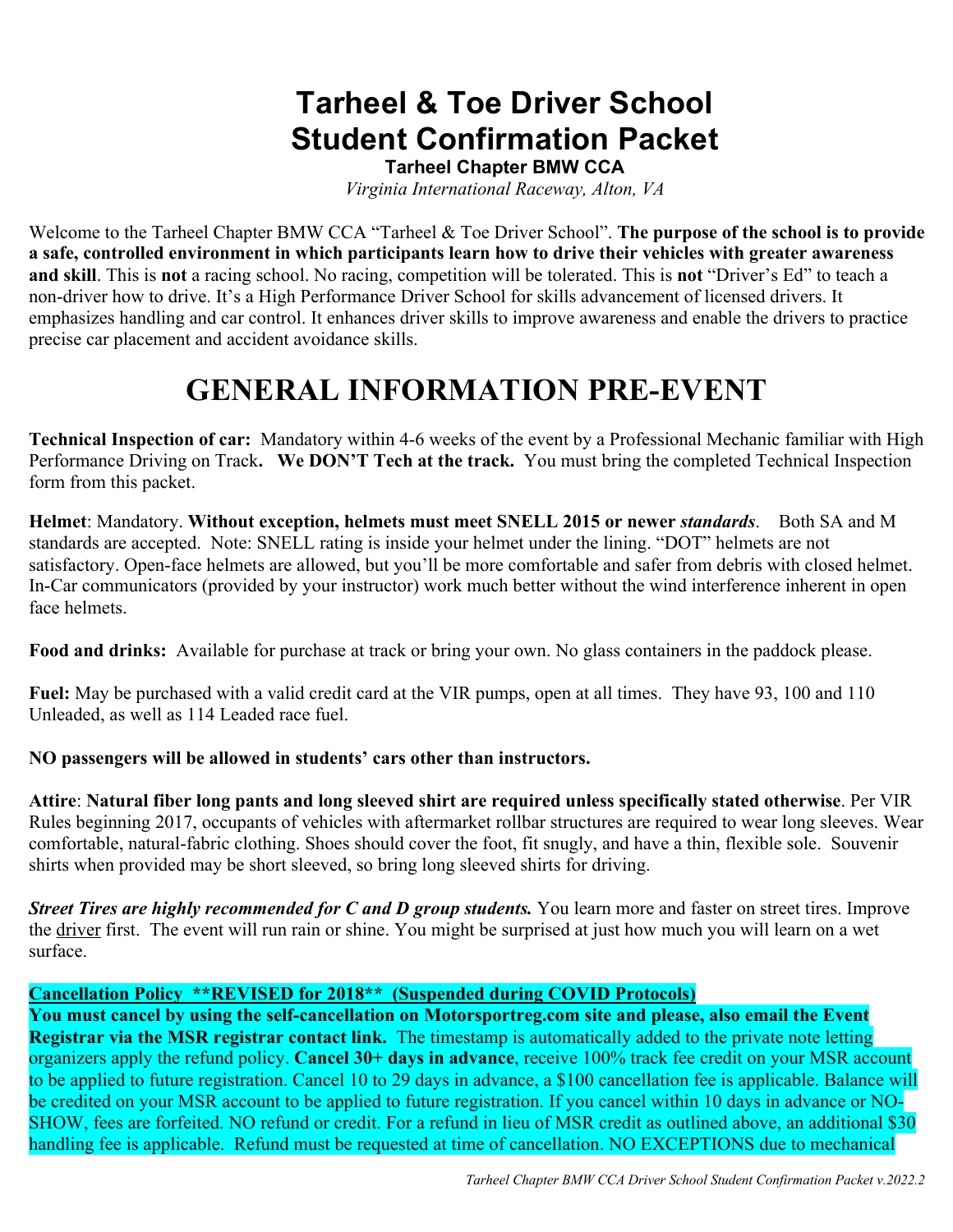### **Tarheel & Toe Driver School Student Confirmation Packet**

**Tarheel Chapter BMW CCA**

*Virginia International Raceway, Alton, VA*

Welcome to the Tarheel Chapter BMW CCA "Tarheel & Toe Driver School". **The purpose of the school is to provide a safe, controlled environment in which participants learn how to drive their vehicles with greater awareness and skill**. This is **not** a racing school. No racing, competition will be tolerated. This is **not** "Driver's Ed" to teach a non-driver how to drive. It's a High Performance Driver School for skills advancement of licensed drivers. It emphasizes handling and car control. It enhances driver skills to improve awareness and enable the drivers to practice precise car placement and accident avoidance skills.

### **GENERAL INFORMATION PRE-EVENT**

**Technical Inspection of car:** Mandatory within 4-6 weeks of the event by a Professional Mechanic familiar with High Performance Driving on Track. We DON'T Tech at the track. You must bring the completed Technical Inspection form from this packet.

**Helmet**: Mandatory. **Without exception, helmets must meet SNELL 2015 or newer** *standards*. Both SA and M standards are accepted. Note: SNELL rating is inside your helmet under the lining. "DOT" helmets are not satisfactory. Open-face helmets are allowed, but you'll be more comfortable and safer from debris with closed helmet. In-Car communicators (provided by your instructor) work much better without the wind interference inherent in open face helmets.

**Food and drinks:** Available for purchase at track or bring your own. No glass containers in the paddock please.

**Fuel:** May be purchased with a valid credit card at the VIR pumps, open at all times. They have 93, 100 and 110 Unleaded, as well as 114 Leaded race fuel.

#### **NO passengers will be allowed in students' cars other than instructors.**

**Attire**: **Natural fiber long pants and long sleeved shirt are required unless specifically stated otherwise**. Per VIR Rules beginning 2017, occupants of vehicles with aftermarket rollbar structures are required to wear long sleeves. Wear comfortable, natural-fabric clothing. Shoes should cover the foot, fit snugly, and have a thin, flexible sole. Souvenir shirts when provided may be short sleeved, so bring long sleeved shirts for driving.

*Street Tires are highly recommended for C and D group students.* You learn more and faster on street tires. Improve the driver first. The event will run rain or shine. You might be surprised at just how much you will learn on a wet surface.

#### **Cancellation Policy \*\*REVISED for 2018\*\* (Suspended during COVID Protocols)**

**You must cancel by using the self-cancellation on Motorsportreg.com site and please, also email the Event Registrar via the MSR registrar contact link.** The timestamp is automatically added to the private note letting organizers apply the refund policy. **Cancel 30+ days in advance**, receive 100% track fee credit on your MSR account to be applied to future registration. Cancel 10 to 29 days in advance, a \$100 cancellation fee is applicable. Balance will be credited on your MSR account to be applied to future registration. If you cancel within 10 days in advance or NO-SHOW, fees are forfeited. NO refund or credit. For a refund in lieu of MSR credit as outlined above, an additional \$30 handling fee is applicable. Refund must be requested at time of cancellation. NO EXCEPTIONS due to mechanical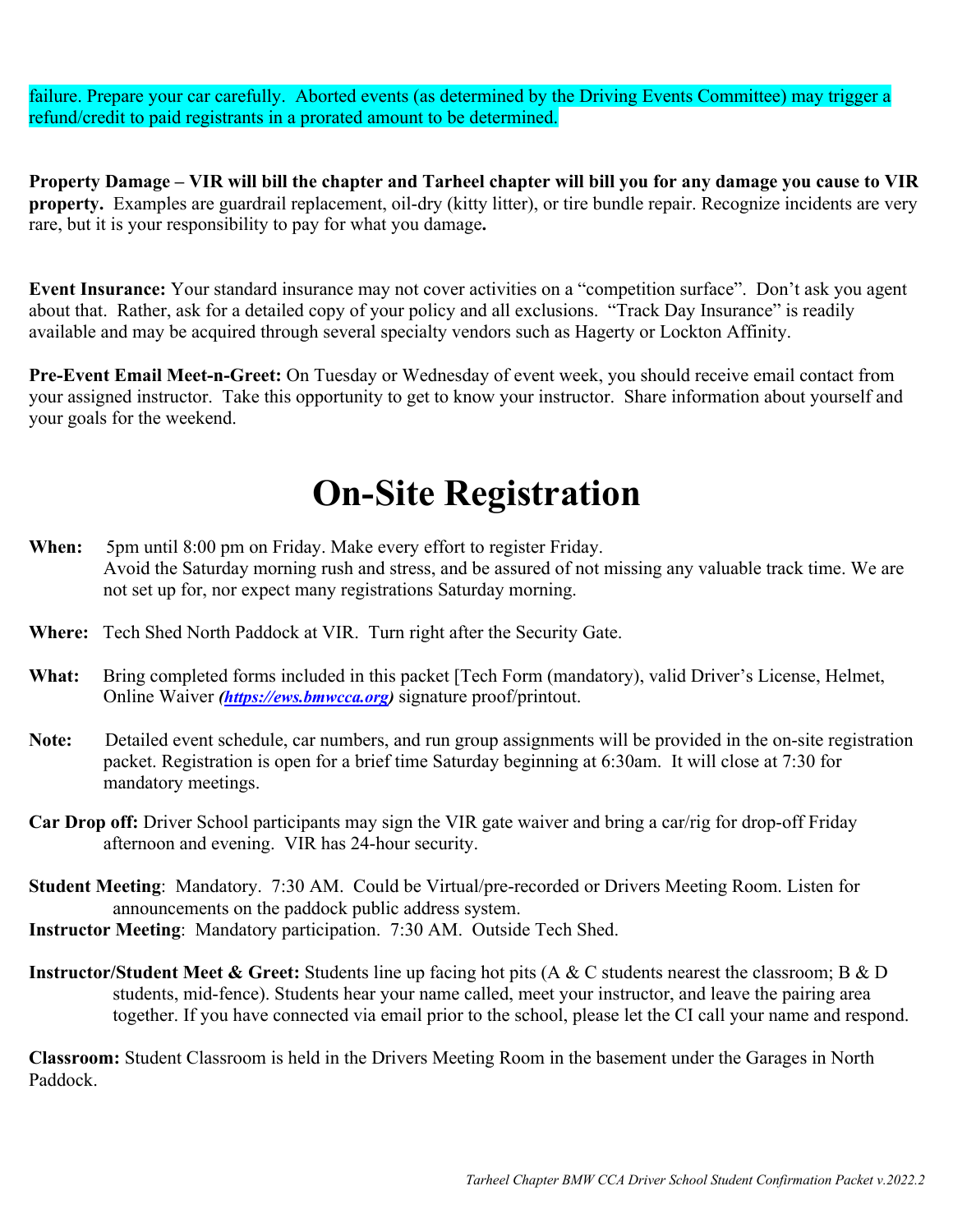failure. Prepare your car carefully. Aborted events (as determined by the Driving Events Committee) may trigger a refund/credit to paid registrants in a prorated amount to be determined.

**Property Damage – VIR will bill the chapter and Tarheel chapter will bill you for any damage you cause to VIR property.** Examples are guardrail replacement, oil-dry (kitty litter), or tire bundle repair. Recognize incidents are very rare, but it is your responsibility to pay for what you damage**.** 

**Event Insurance:** Your standard insurance may not cover activities on a "competition surface". Don't ask you agent about that. Rather, ask for a detailed copy of your policy and all exclusions. "Track Day Insurance" is readily available and may be acquired through several specialty vendors such as Hagerty or Lockton Affinity.

**Pre-Event Email Meet-n-Greet:** On Tuesday or Wednesday of event week, you should receive email contact from your assigned instructor. Take this opportunity to get to know your instructor. Share information about yourself and your goals for the weekend.

## **On-Site Registration**

- **When:** 5pm until 8:00 pm on Friday. Make every effort to register Friday. Avoid the Saturday morning rush and stress, and be assured of not missing any valuable track time. We are not set up for, nor expect many registrations Saturday morning.
- **Where:** Tech Shed North Paddock at VIR. Turn right after the Security Gate.
- What: Bring completed forms included in this packet [Tech Form (mandatory), valid Driver's License, Helmet, Online Waiver *(https://ews.bmwcca.org)* signature proof/printout.
- **Note:** Detailed event schedule, car numbers, and run group assignments will be provided in the on-site registration packet. Registration is open for a brief time Saturday beginning at 6:30am. It will close at 7:30 for mandatory meetings.
- **Car Drop off:** Driver School participants may sign the VIR gate waiver and bring a car/rig for drop-off Friday afternoon and evening. VIR has 24-hour security.
- **Student Meeting**: Mandatory. 7:30 AM. Could be Virtual/pre-recorded or Drivers Meeting Room. Listen for announcements on the paddock public address system.
- **Instructor Meeting**: Mandatory participation. 7:30 AM. Outside Tech Shed.
- **Instructor/Student Meet & Greet:** Students line up facing hot pits (A & C students nearest the classroom; B & D students, mid-fence). Students hear your name called, meet your instructor, and leave the pairing area together. If you have connected via email prior to the school, please let the CI call your name and respond.

**Classroom:** Student Classroom is held in the Drivers Meeting Room in the basement under the Garages in North Paddock.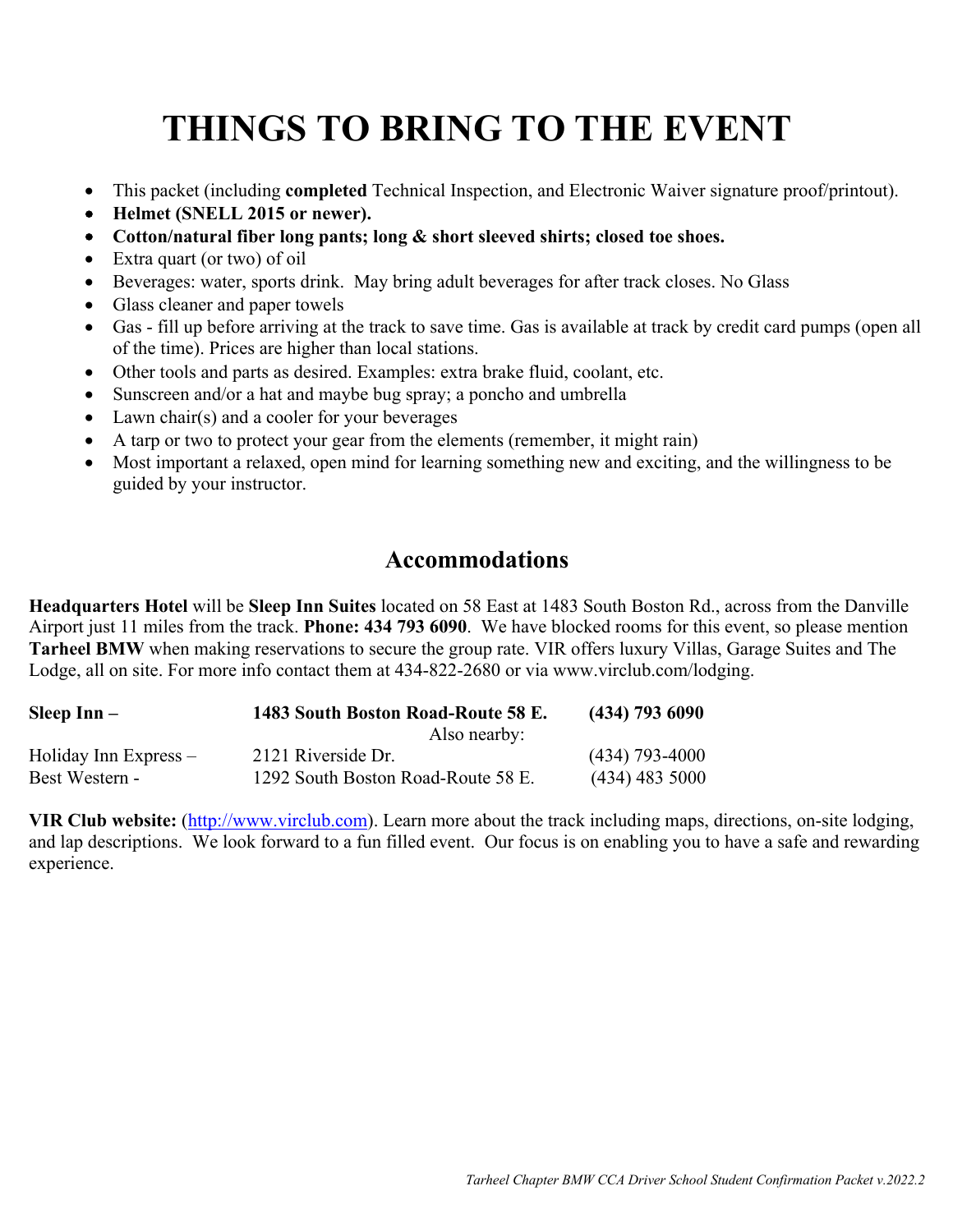# **THINGS TO BRING TO THE EVENT**

- This packet (including **completed** Technical Inspection, and Electronic Waiver signature proof/printout).
- **Helmet (SNELL 2015 or newer).**
- **Cotton/natural fiber long pants; long & short sleeved shirts; closed toe shoes.**
- Extra quart (or two) of oil
- Beverages: water, sports drink. May bring adult beverages for after track closes. No Glass
- Glass cleaner and paper towels
- Gas fill up before arriving at the track to save time. Gas is available at track by credit card pumps (open all of the time). Prices are higher than local stations.
- Other tools and parts as desired. Examples: extra brake fluid, coolant, etc.
- Sunscreen and/or a hat and maybe bug spray; a poncho and umbrella
- Lawn chair(s) and a cooler for your beverages
- A tarp or two to protect your gear from the elements (remember, it might rain)
- Most important a relaxed, open mind for learning something new and exciting, and the willingness to be guided by your instructor.

### **Accommodations**

**Headquarters Hotel** will be **Sleep Inn Suites** located on 58 East at 1483 South Boston Rd., across from the Danville Airport just 11 miles from the track. **Phone: 434 793 6090**. We have blocked rooms for this event, so please mention **Tarheel BMW** when making reservations to secure the group rate. VIR offers luxury Villas, Garage Suites and The Lodge, all on site. For more info contact them at 434-822-2680 or via www.virclub.com/lodging.

| Sleep $Inn-$               | 1483 South Boston Road-Route 58 E. | $(434)$ 793 6090 |  |
|----------------------------|------------------------------------|------------------|--|
|                            | Also nearby:                       |                  |  |
| $H$ oliday Inn Express $-$ | 2121 Riverside Dr.                 | $(434)$ 793-4000 |  |
| Best Western -             | 1292 South Boston Road-Route 58 E. | $(434)$ 483 5000 |  |

**VIR Club website:** (http://www.virclub.com). Learn more about the track including maps, directions, on-site lodging, and lap descriptions. We look forward to a fun filled event. Our focus is on enabling you to have a safe and rewarding experience.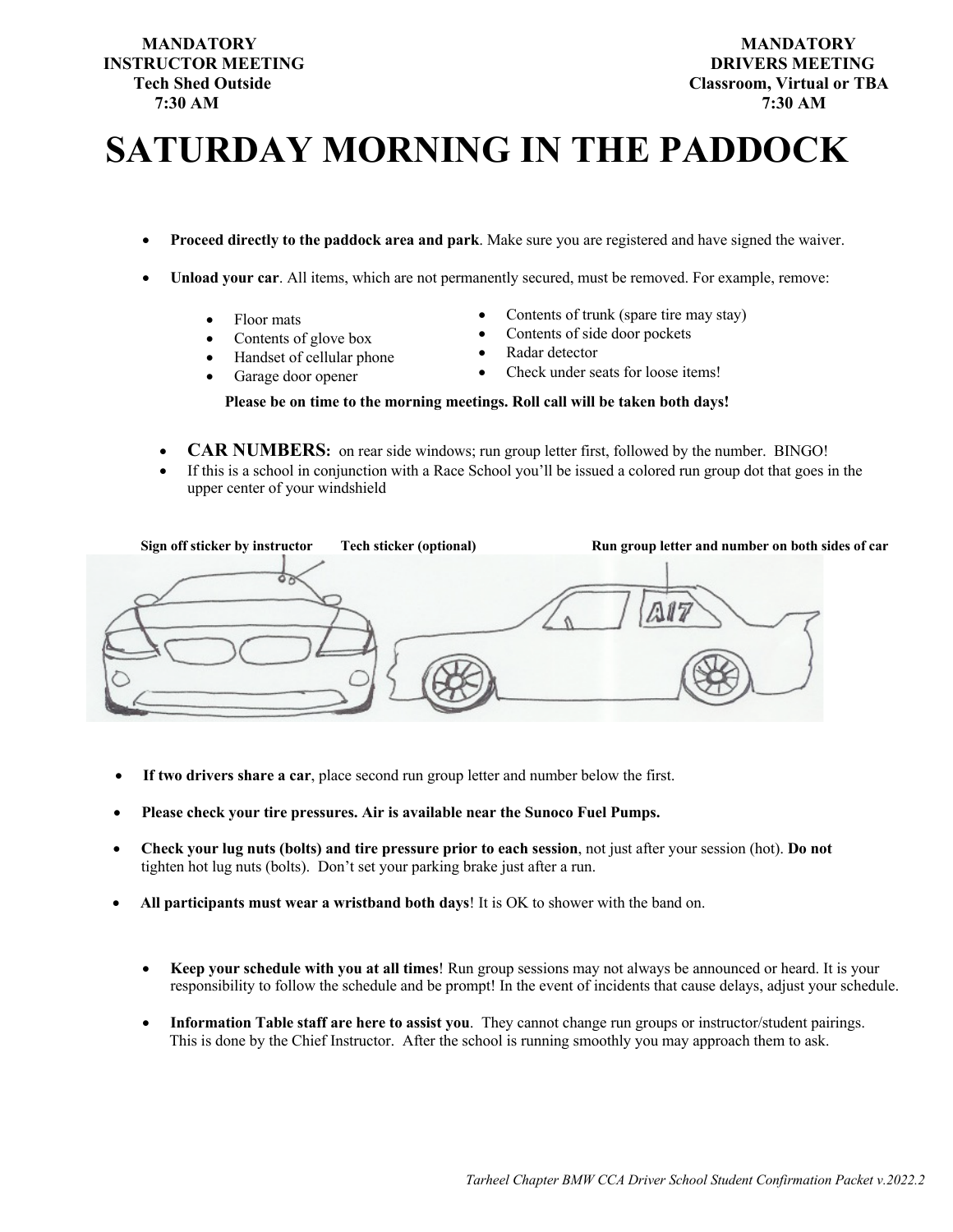## **INSTRUCTOR MEETING DRIVERS MEETING 7:30 AM 7:30 AM**

## **SATURDAY MORNING IN THE PADDOCK**

- **Proceed directly to the paddock area and park**. Make sure you are registered and have signed the waiver.
- **Unload your car**. All items, which are not permanently secured, must be removed. For example, remove:
	- Floor mats
	- Contents of glove box
	- Handset of cellular phone
	- Garage door opener
- Contents of trunk (spare tire may stay)
- Contents of side door pockets
- Radar detector
- Check under seats for loose items!

#### **Please be on time to the morning meetings. Roll call will be taken both days!**

- **CAR NUMBERS:** on rear side windows; run group letter first, followed by the number. BINGO!
- If this is a school in conjunction with a Race School you'll be issued a colored run group dot that goes in the upper center of your windshield

| Sign off sticker by instructor | <b>Tech sticker (optional)</b> | Run group letter and number on both sides of car |
|--------------------------------|--------------------------------|--------------------------------------------------|
|                                |                                |                                                  |

- **If two drivers share a car**, place second run group letter and number below the first.
- **Please check your tire pressures. Air is available near the Sunoco Fuel Pumps.**
- **Check your lug nuts (bolts) and tire pressure prior to each session**, not just after your session (hot). **Do not** tighten hot lug nuts (bolts). Don't set your parking brake just after a run.
- **All participants must wear a wristband both days**! It is OK to shower with the band on.
	- **Keep your schedule with you at all times**! Run group sessions may not always be announced or heard. It is your responsibility to follow the schedule and be prompt! In the event of incidents that cause delays, adjust your schedule.
	- **Information Table staff are here to assist you**. They cannot change run groups or instructor/student pairings. This is done by the Chief Instructor. After the school is running smoothly you may approach them to ask.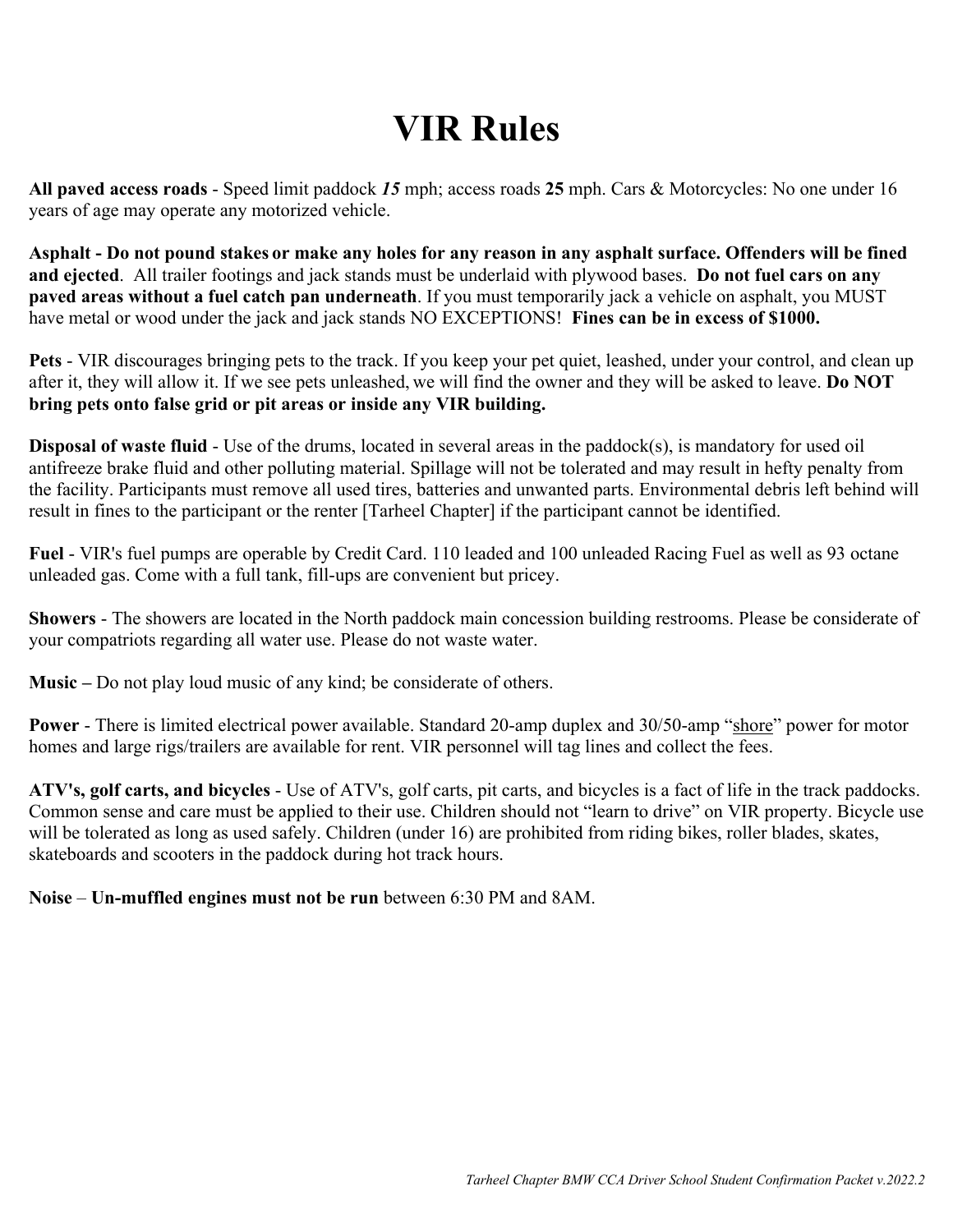## **VIR Rules**

**All paved access roads** - Speed limit paddock *15* mph; access roads **25** mph. Cars & Motorcycles: No one under 16 years of age may operate any motorized vehicle.

**Asphalt - Do not pound stakes or make any holes for any reason in any asphalt surface. Offenders will be fined and ejected**. All trailer footings and jack stands must be underlaid with plywood bases. **Do not fuel cars on any paved areas without a fuel catch pan underneath**. If you must temporarily jack a vehicle on asphalt, you MUST have metal or wood under the jack and jack stands NO EXCEPTIONS! **Fines can be in excess of \$1000.**

**Pets** - VIR discourages bringing pets to the track. If you keep your pet quiet, leashed, under your control, and clean up after it, they will allow it. If we see pets unleashed, we will find the owner and they will be asked to leave. **Do NOT bring pets onto false grid or pit areas or inside any VIR building.**

**Disposal of waste fluid** - Use of the drums, located in several areas in the paddock(s), is mandatory for used oil antifreeze brake fluid and other polluting material. Spillage will not be tolerated and may result in hefty penalty from the facility. Participants must remove all used tires, batteries and unwanted parts. Environmental debris left behind will result in fines to the participant or the renter [Tarheel Chapter] if the participant cannot be identified.

**Fuel** - VIR's fuel pumps are operable by Credit Card. 110 leaded and 100 unleaded Racing Fuel as well as 93 octane unleaded gas. Come with a full tank, fill-ups are convenient but pricey.

**Showers** - The showers are located in the North paddock main concession building restrooms. Please be considerate of your compatriots regarding all water use. Please do not waste water.

**Music –** Do not play loud music of any kind; be considerate of others.

**Power** - There is limited electrical power available. Standard 20-amp duplex and 30/50-amp "shore" power for motor homes and large rigs/trailers are available for rent. VIR personnel will tag lines and collect the fees.

**ATV's, golf carts, and bicycles** - Use of ATV's, golf carts, pit carts, and bicycles is a fact of life in the track paddocks. Common sense and care must be applied to their use. Children should not "learn to drive" on VIR property. Bicycle use will be tolerated as long as used safely. Children (under 16) are prohibited from riding bikes, roller blades, skates, skateboards and scooters in the paddock during hot track hours.

**Noise** – **Un-muffled engines must not be run** between 6:30 PM and 8AM.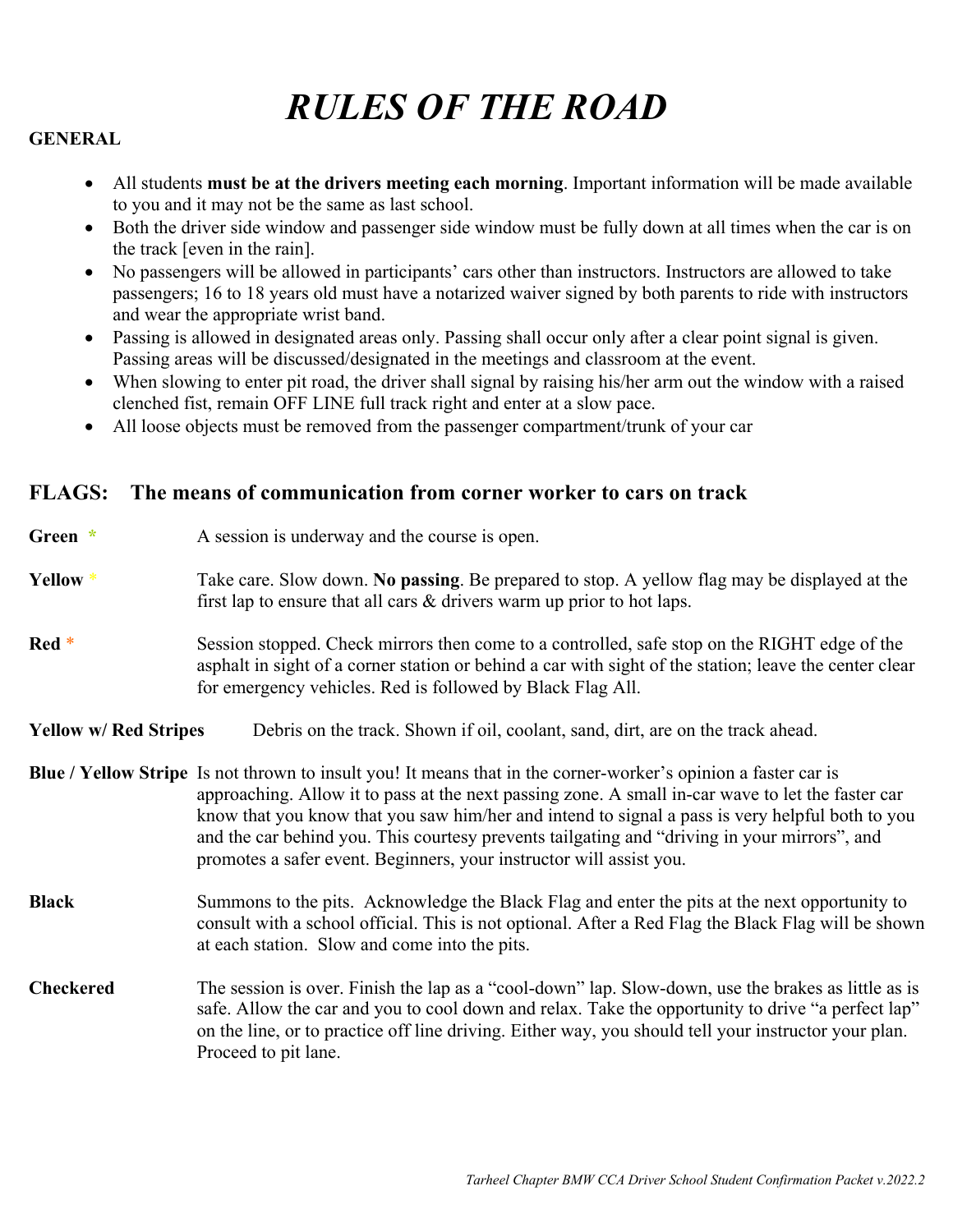## *RULES OF THE ROAD*

#### **GENERAL**

- All students **must be at the drivers meeting each morning**. Important information will be made available to you and it may not be the same as last school.
- Both the driver side window and passenger side window must be fully down at all times when the car is on the track [even in the rain].
- No passengers will be allowed in participants' cars other than instructors. Instructors are allowed to take passengers; 16 to 18 years old must have a notarized waiver signed by both parents to ride with instructors and wear the appropriate wrist band.
- Passing is allowed in designated areas only. Passing shall occur only after a clear point signal is given. Passing areas will be discussed/designated in the meetings and classroom at the event.
- When slowing to enter pit road, the driver shall signal by raising his/her arm out the window with a raised clenched fist, remain OFF LINE full track right and enter at a slow pace.
- All loose objects must be removed from the passenger compartment/trunk of your car

#### **FLAGS: The means of communication from corner worker to cars on track**

| Green $*$                    | A session is underway and the course is open.                                                                                                                                                                                                                                                                                                                                                                                                                                                 |  |  |  |  |
|------------------------------|-----------------------------------------------------------------------------------------------------------------------------------------------------------------------------------------------------------------------------------------------------------------------------------------------------------------------------------------------------------------------------------------------------------------------------------------------------------------------------------------------|--|--|--|--|
| Yellow *                     | Take care. Slow down. No passing. Be prepared to stop. A yellow flag may be displayed at the<br>first lap to ensure that all cars $\&$ drivers warm up prior to hot laps.                                                                                                                                                                                                                                                                                                                     |  |  |  |  |
| Red <sup>*</sup>             | Session stopped. Check mirrors then come to a controlled, safe stop on the RIGHT edge of the<br>asphalt in sight of a corner station or behind a car with sight of the station; leave the center clear<br>for emergency vehicles. Red is followed by Black Flag All.                                                                                                                                                                                                                          |  |  |  |  |
| <b>Yellow w/ Red Stripes</b> | Debris on the track. Shown if oil, coolant, sand, dirt, are on the track ahead.                                                                                                                                                                                                                                                                                                                                                                                                               |  |  |  |  |
|                              | Blue / Yellow Stripe Is not thrown to insult you! It means that in the corner-worker's opinion a faster car is<br>approaching. Allow it to pass at the next passing zone. A small in-car wave to let the faster car<br>know that you know that you saw him/her and intend to signal a pass is very helpful both to you<br>and the car behind you. This courtesy prevents tailgating and "driving in your mirrors", and<br>promotes a safer event. Beginners, your instructor will assist you. |  |  |  |  |
| <b>Black</b>                 | Summons to the pits. Acknowledge the Black Flag and enter the pits at the next opportunity to<br>consult with a school official. This is not optional. After a Red Flag the Black Flag will be shown<br>at each station. Slow and come into the pits.                                                                                                                                                                                                                                         |  |  |  |  |
| <b>Checkered</b>             | The session is over. Finish the lap as a "cool-down" lap. Slow-down, use the brakes as little as is<br>safe. Allow the car and you to cool down and relax. Take the opportunity to drive "a perfect lap"<br>on the line, or to practice off line driving. Either way, you should tell your instructor your plan.<br>Proceed to pit lane.                                                                                                                                                      |  |  |  |  |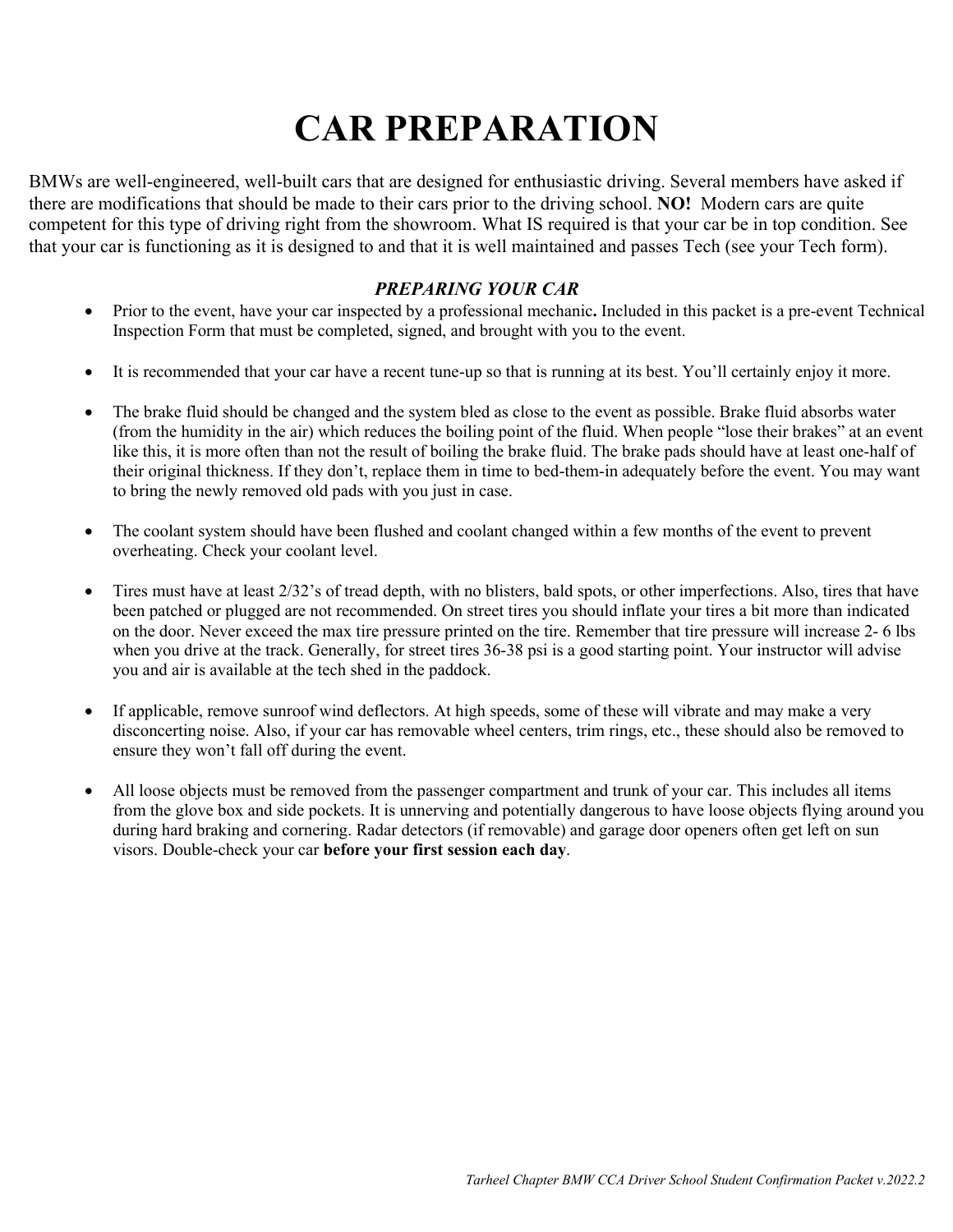# **CAR PREPARATION**

BMWs are well-engineered, well-built cars that are designed for enthusiastic driving. Several members have asked if there are modifications that should be made to their cars prior to the driving school. **NO!** Modern cars are quite competent for this type of driving right from the showroom. What IS required is that your car be in top condition. See that your car is functioning as it is designed to and that it is well maintained and passes Tech (see your Tech form).

#### *PREPARING YOUR CAR*

- Prior to the event, have your car inspected by a professional mechanic**.** Included in this packet is a pre-event Technical Inspection Form that must be completed, signed, and brought with you to the event.
- It is recommended that your car have a recent tune-up so that is running at its best. You'll certainly enjoy it more.
- The brake fluid should be changed and the system bled as close to the event as possible. Brake fluid absorbs water (from the humidity in the air) which reduces the boiling point of the fluid. When people "lose their brakes" at an event like this, it is more often than not the result of boiling the brake fluid. The brake pads should have at least one-half of their original thickness. If they don't, replace them in time to bed-them-in adequately before the event. You may want to bring the newly removed old pads with you just in case.
- The coolant system should have been flushed and coolant changed within a few months of the event to prevent overheating. Check your coolant level.
- Tires must have at least 2/32's of tread depth, with no blisters, bald spots, or other imperfections. Also, tires that have been patched or plugged are not recommended. On street tires you should inflate your tires a bit more than indicated on the door. Never exceed the max tire pressure printed on the tire. Remember that tire pressure will increase 2- 6 lbs when you drive at the track. Generally, for street tires 36-38 psi is a good starting point. Your instructor will advise you and air is available at the tech shed in the paddock.
- If applicable, remove sunroof wind deflectors. At high speeds, some of these will vibrate and may make a very disconcerting noise. Also, if your car has removable wheel centers, trim rings, etc., these should also be removed to ensure they won't fall off during the event.
- All loose objects must be removed from the passenger compartment and trunk of your car. This includes all items from the glove box and side pockets. It is unnerving and potentially dangerous to have loose objects flying around you during hard braking and cornering. Radar detectors (if removable) and garage door openers often get left on sun visors. Double-check your car **before your first session each day**.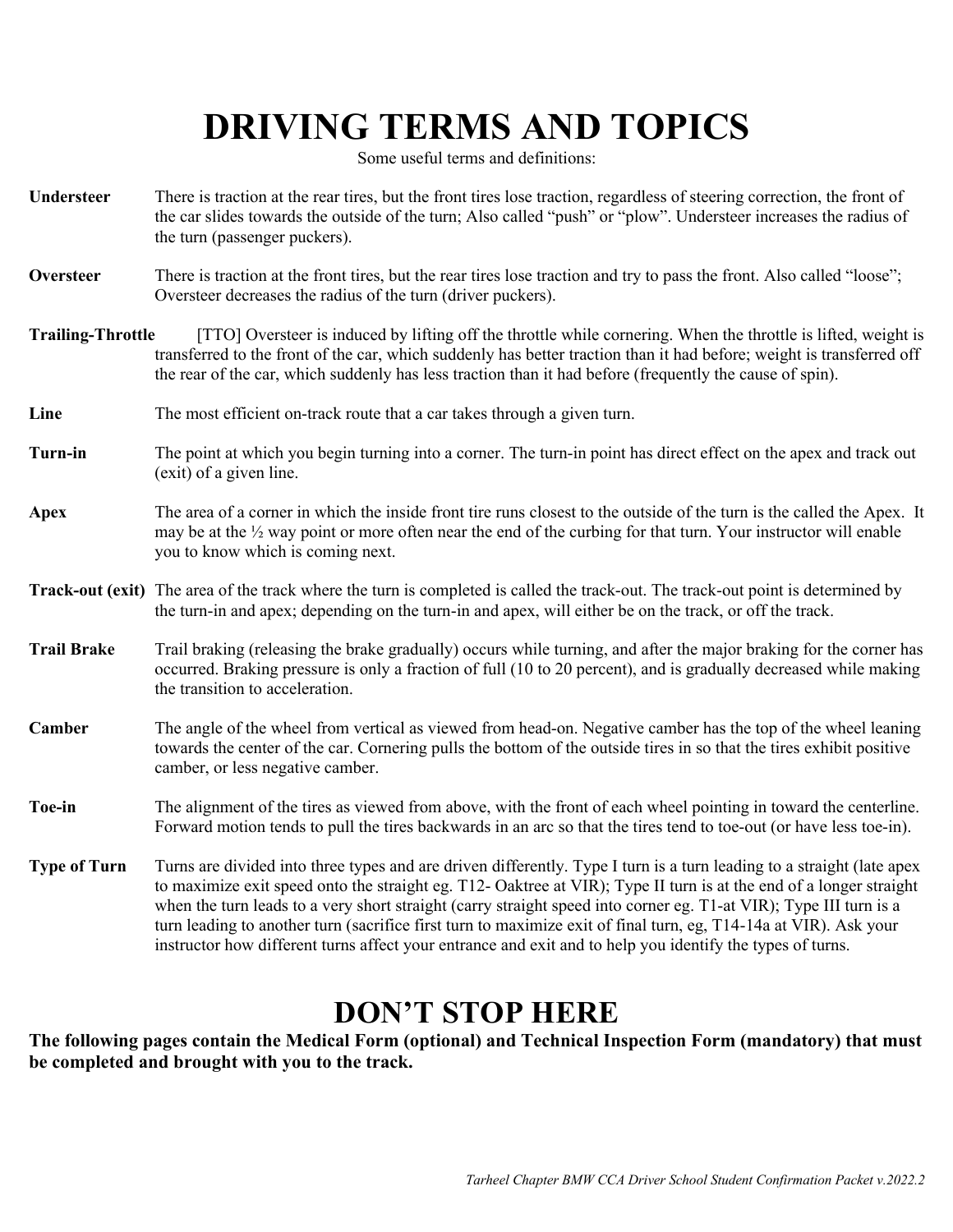## **DRIVING TERMS AND TOPICS**

Some useful terms and definitions:

- **Understeer** There is traction at the rear tires, but the front tires lose traction, regardless of steering correction, the front of the car slides towards the outside of the turn; Also called "push" or "plow". Understeer increases the radius of the turn (passenger puckers).
- **Oversteer** There is traction at the front tires, but the rear tires lose traction and try to pass the front. Also called "loose"; Oversteer decreases the radius of the turn (driver puckers).
- **Trailing-Throttle** [TTO] Oversteer is induced by lifting off the throttle while cornering. When the throttle is lifted, weight is transferred to the front of the car, which suddenly has better traction than it had before; weight is transferred off the rear of the car, which suddenly has less traction than it had before (frequently the cause of spin).
- **Line** The most efficient on-track route that a car takes through a given turn.
- **Turn-in** The point at which you begin turning into a corner. The turn-in point has direct effect on the apex and track out (exit) of a given line.
- **Apex** The area of a corner in which the inside front tire runs closest to the outside of the turn is the called the Apex. It may be at the ½ way point or more often near the end of the curbing for that turn. Your instructor will enable you to know which is coming next.
- **Track-out (exit)** The area of the track where the turn is completed is called the track-out. The track-out point is determined by the turn-in and apex; depending on the turn-in and apex, will either be on the track, or off the track.
- **Trail Brake** Trail braking (releasing the brake gradually) occurs while turning, and after the major braking for the corner has occurred. Braking pressure is only a fraction of full (10 to 20 percent), and is gradually decreased while making the transition to acceleration.
- **Camber** The angle of the wheel from vertical as viewed from head-on. Negative camber has the top of the wheel leaning towards the center of the car. Cornering pulls the bottom of the outside tires in so that the tires exhibit positive camber, or less negative camber.
- **Toe-in** The alignment of the tires as viewed from above, with the front of each wheel pointing in toward the centerline. Forward motion tends to pull the tires backwards in an arc so that the tires tend to toe-out (or have less toe-in).
- **Type of Turn** Turns are divided into three types and are driven differently. Type I turn is a turn leading to a straight (late apex to maximize exit speed onto the straight eg. T12- Oaktree at VIR); Type II turn is at the end of a longer straight when the turn leads to a very short straight (carry straight speed into corner eg. T1-at VIR); Type III turn is a turn leading to another turn (sacrifice first turn to maximize exit of final turn, eg, T14-14a at VIR). Ask your instructor how different turns affect your entrance and exit and to help you identify the types of turns.

### **DON'T STOP HERE**

**The following pages contain the Medical Form (optional) and Technical Inspection Form (mandatory) that must be completed and brought with you to the track.**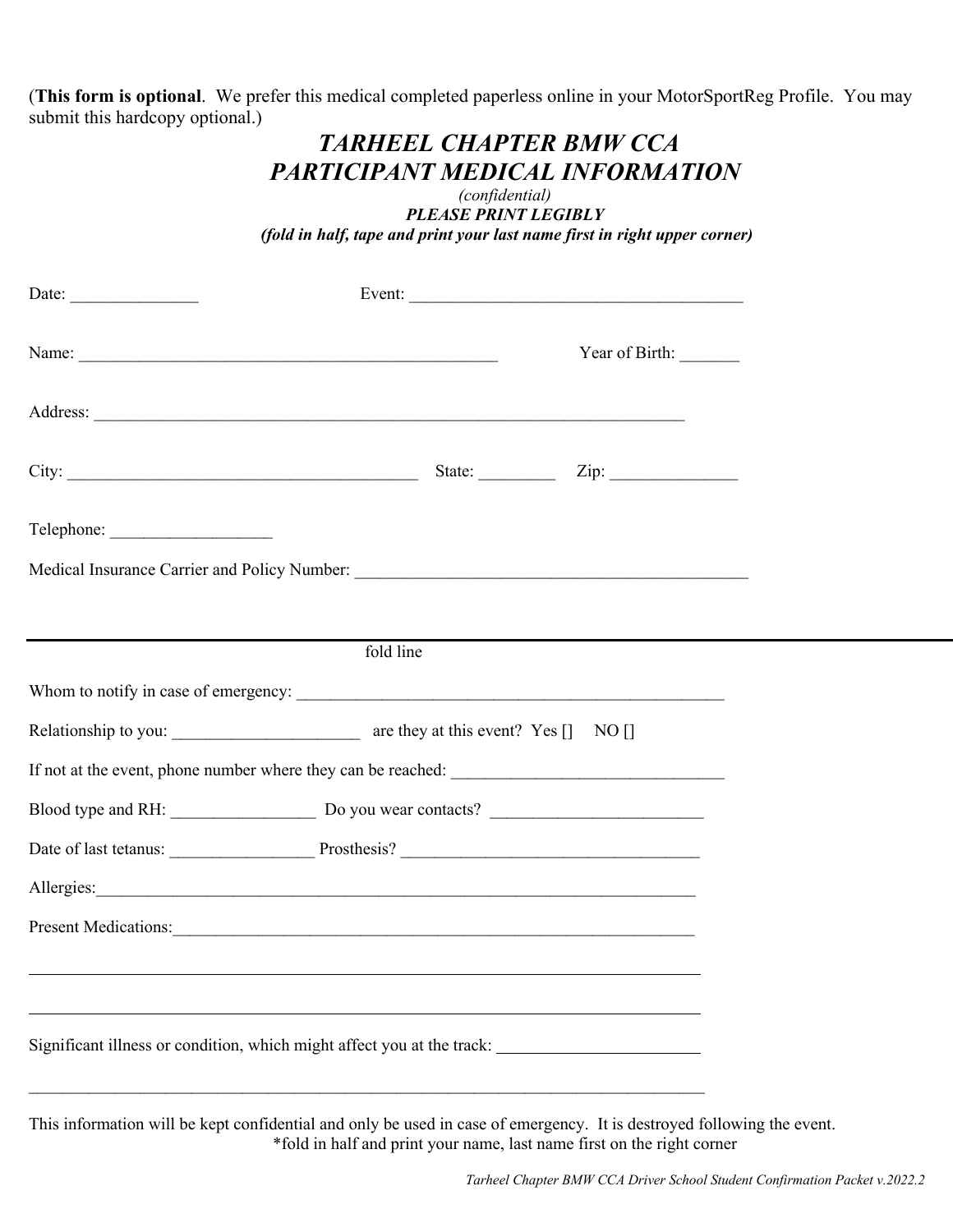(**This form is optional**. We prefer this medical completed paperless online in your MotorSportReg Profile. You may submit this hardcopy optional.)

### *TARHEEL CHAPTER BMW CCA PARTICIPANT MEDICAL INFORMATION*

*(confidential) PLEASE PRINT LEGIBLY (fold in half, tape and print your last name first in right upper corner)*

| Name:                                                                                                                                                                                                                          |           | Year of Birth: |  |  |  |  |
|--------------------------------------------------------------------------------------------------------------------------------------------------------------------------------------------------------------------------------|-----------|----------------|--|--|--|--|
|                                                                                                                                                                                                                                |           |                |  |  |  |  |
|                                                                                                                                                                                                                                |           |                |  |  |  |  |
|                                                                                                                                                                                                                                |           |                |  |  |  |  |
|                                                                                                                                                                                                                                |           |                |  |  |  |  |
|                                                                                                                                                                                                                                | fold line |                |  |  |  |  |
|                                                                                                                                                                                                                                |           |                |  |  |  |  |
|                                                                                                                                                                                                                                |           |                |  |  |  |  |
|                                                                                                                                                                                                                                |           |                |  |  |  |  |
|                                                                                                                                                                                                                                |           |                |  |  |  |  |
|                                                                                                                                                                                                                                |           |                |  |  |  |  |
| Allergies: 1999 and 1999 and 1999 and 1999 and 1999 and 1999 and 1999 and 1999 and 1999 and 1999 and 1999 and 1999 and 1999 and 1999 and 1999 and 1999 and 1999 and 1999 and 1999 and 1999 and 1999 and 1999 and 1999 and 1999 |           |                |  |  |  |  |
| Present Medications:                                                                                                                                                                                                           |           |                |  |  |  |  |
|                                                                                                                                                                                                                                |           |                |  |  |  |  |
|                                                                                                                                                                                                                                |           |                |  |  |  |  |
| Significant illness or condition, which might affect you at the track:                                                                                                                                                         |           |                |  |  |  |  |
|                                                                                                                                                                                                                                |           |                |  |  |  |  |

This information will be kept confidential and only be used in case of emergency. It is destroyed following the event. \*fold in half and print your name, last name first on the right corner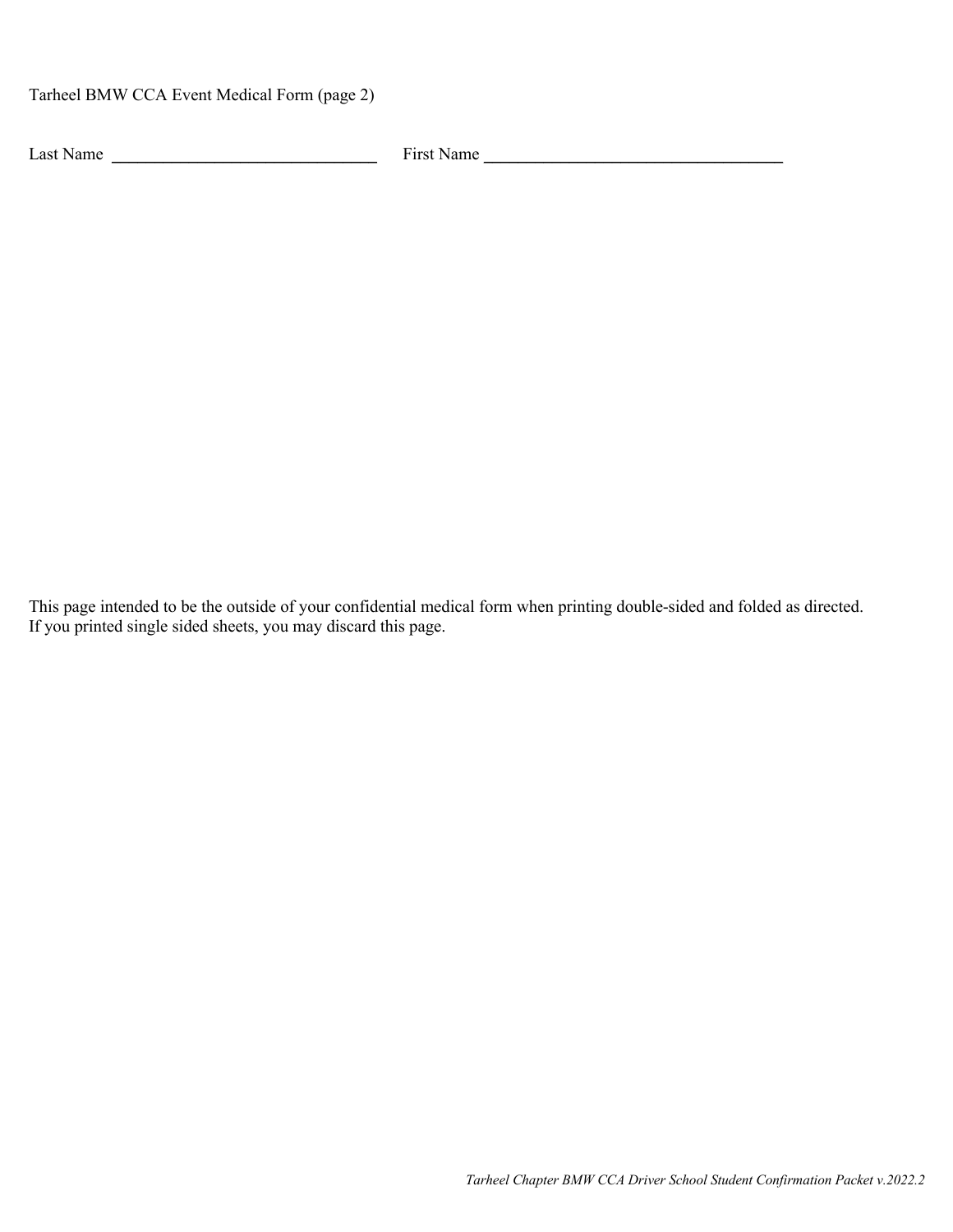Tarheel BMW CCA Event Medical Form (page 2)

Last Name  $\frac{1}{\sqrt{1-\frac{1}{2}}\sqrt{1-\frac{1}{2}}\sqrt{1-\frac{1}{2}}\sqrt{1-\frac{1}{2}}\sqrt{1-\frac{1}{2}}\sqrt{1-\frac{1}{2}}\sqrt{1-\frac{1}{2}}\sqrt{1-\frac{1}{2}}\sqrt{1-\frac{1}{2}}\sqrt{1-\frac{1}{2}}\sqrt{1-\frac{1}{2}}\sqrt{1-\frac{1}{2}}\sqrt{1-\frac{1}{2}}\sqrt{1-\frac{1}{2}}\sqrt{1-\frac{1}{2}}\sqrt{1-\frac{1}{2}}\sqrt{1-\frac{1}{2}}\sqrt{1-\frac{1}{2}}\sqrt{1-\frac{$ 

This page intended to be the outside of your confidential medical form when printing double-sided and folded as directed. If you printed single sided sheets, you may discard this page.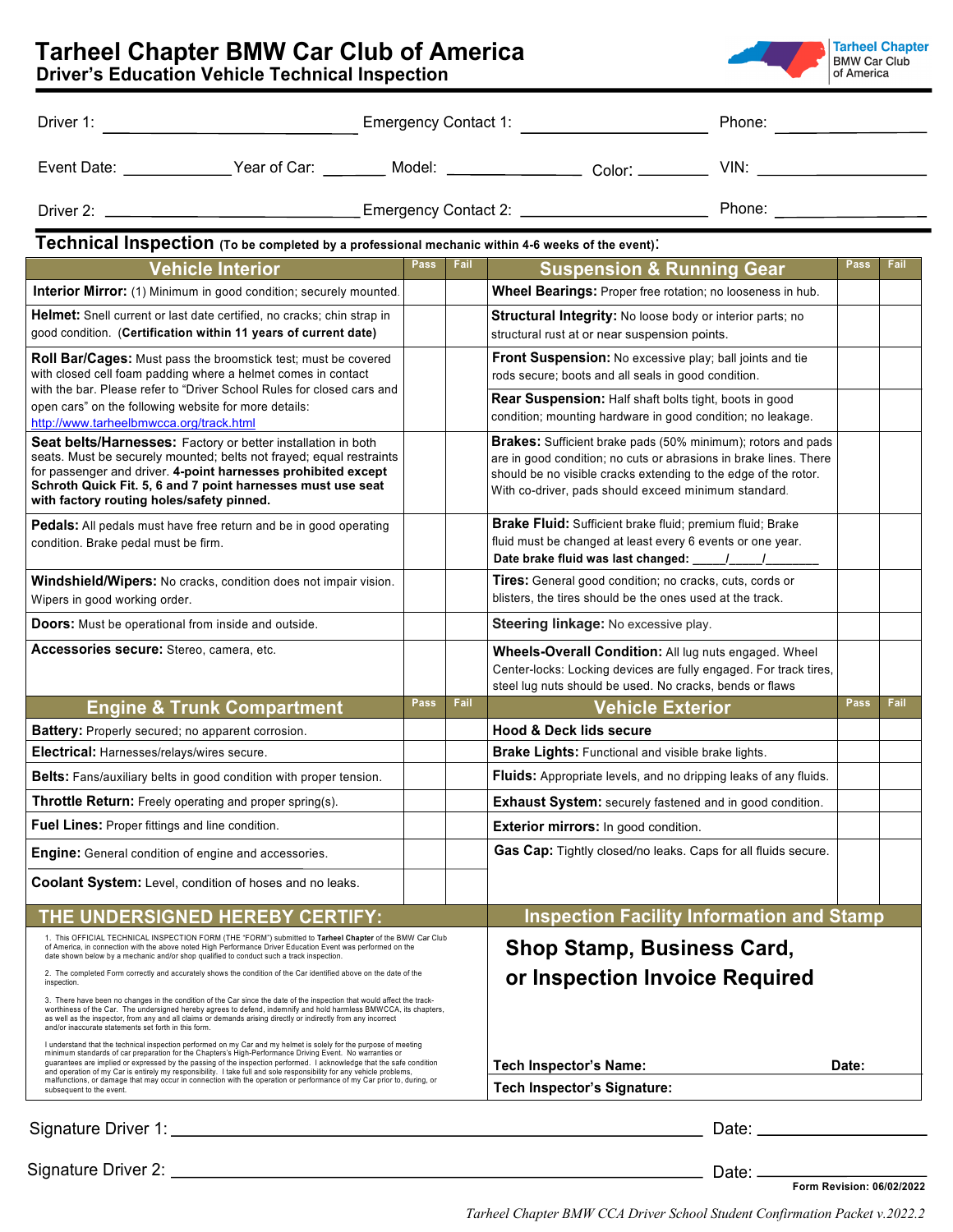|                                                                                                                                                                                                                                                                                                                                                                                                                                                                                                                                                                                                         |  |             |                        |                                                                                                                                                                                                                                                                     | Phone: National Assembly Phone: National Assembly           |             |      |  |  |  |
|---------------------------------------------------------------------------------------------------------------------------------------------------------------------------------------------------------------------------------------------------------------------------------------------------------------------------------------------------------------------------------------------------------------------------------------------------------------------------------------------------------------------------------------------------------------------------------------------------------|--|-------------|------------------------|---------------------------------------------------------------------------------------------------------------------------------------------------------------------------------------------------------------------------------------------------------------------|-------------------------------------------------------------|-------------|------|--|--|--|
| Event Date: _______________Year of Car: _________ Model: __________________ Color: __________ VIN: __________________                                                                                                                                                                                                                                                                                                                                                                                                                                                                                   |  |             |                        |                                                                                                                                                                                                                                                                     |                                                             |             |      |  |  |  |
|                                                                                                                                                                                                                                                                                                                                                                                                                                                                                                                                                                                                         |  |             |                        |                                                                                                                                                                                                                                                                     |                                                             |             |      |  |  |  |
| Technical Inspection (To be completed by a professional mechanic within 4-6 weeks of the event).                                                                                                                                                                                                                                                                                                                                                                                                                                                                                                        |  |             |                        |                                                                                                                                                                                                                                                                     |                                                             |             |      |  |  |  |
| <b>Vehicle Interior</b>                                                                                                                                                                                                                                                                                                                                                                                                                                                                                                                                                                                 |  | Pass        | Fail                   | <b>Suspension &amp; Running Gear</b>                                                                                                                                                                                                                                |                                                             | <b>Pass</b> | Fail |  |  |  |
| Interior Mirror: (1) Minimum in good condition; securely mounted.                                                                                                                                                                                                                                                                                                                                                                                                                                                                                                                                       |  |             |                        | Wheel Bearings: Proper free rotation; no looseness in hub.                                                                                                                                                                                                          |                                                             |             |      |  |  |  |
| <b>Helmet:</b> Snell current or last date certified, no cracks; chin strap in<br>good condition. (Certification within 11 years of current date)                                                                                                                                                                                                                                                                                                                                                                                                                                                        |  |             |                        | <b>Structural Integrity:</b> No loose body or interior parts; no<br>structural rust at or near suspension points.                                                                                                                                                   |                                                             |             |      |  |  |  |
| <b>Roll Bar/Cages:</b> Must pass the broomstick test; must be covered<br>with closed cell foam padding where a helmet comes in contact<br>with the bar. Please refer to "Driver School Rules for closed cars and                                                                                                                                                                                                                                                                                                                                                                                        |  |             |                        | Front Suspension: No excessive play; ball joints and tie<br>rods secure; boots and all seals in good condition.<br><b>Rear Suspension:</b> Half shaft bolts tight, boots in good                                                                                    |                                                             |             |      |  |  |  |
| open cars" on the following website for more details:<br>http://www.tarheelbmwcca.org/track.html                                                                                                                                                                                                                                                                                                                                                                                                                                                                                                        |  |             |                        |                                                                                                                                                                                                                                                                     | condition; mounting hardware in good condition; no leakage. |             |      |  |  |  |
| Seat belts/Harnesses: Factory or better installation in both<br>seats. Must be securely mounted; belts not frayed; equal restraints<br>for passenger and driver. 4-point harnesses prohibited except<br>Schroth Quick Fit. 5, 6 and 7 point harnesses must use seat<br>with factory routing holes/safety pinned.                                                                                                                                                                                                                                                                                        |  |             |                        | <b>Brakes:</b> Sufficient brake pads (50% minimum); rotors and pads<br>are in good condition; no cuts or abrasions in brake lines. There<br>should be no visible cracks extending to the edge of the rotor.<br>With co-driver, pads should exceed minimum standard. |                                                             |             |      |  |  |  |
| <b>Pedals:</b> All pedals must have free return and be in good operating<br>condition. Brake pedal must be firm.                                                                                                                                                                                                                                                                                                                                                                                                                                                                                        |  |             |                        | Brake Fluid: Sufficient brake fluid; premium fluid; Brake<br>fluid must be changed at least every 6 events or one year.                                                                                                                                             |                                                             |             |      |  |  |  |
| Windshield/Wipers: No cracks, condition does not impair vision.<br>Wipers in good working order.                                                                                                                                                                                                                                                                                                                                                                                                                                                                                                        |  |             |                        | Tires: General good condition; no cracks, cuts, cords or<br>blisters, the tires should be the ones used at the track.                                                                                                                                               |                                                             |             |      |  |  |  |
| <b>Doors:</b> Must be operational from inside and outside.                                                                                                                                                                                                                                                                                                                                                                                                                                                                                                                                              |  |             |                        | Steering linkage: No excessive play.                                                                                                                                                                                                                                |                                                             |             |      |  |  |  |
| Accessories secure: Stereo, camera, etc.                                                                                                                                                                                                                                                                                                                                                                                                                                                                                                                                                                |  |             |                        | Wheels-Overall Condition: All lug nuts engaged. Wheel<br>Center-locks: Locking devices are fully engaged. For track tires,<br>steel lug nuts should be used. No cracks, bends or flaws                                                                              |                                                             |             |      |  |  |  |
| <b>Engine &amp; Trunk Compartment</b>                                                                                                                                                                                                                                                                                                                                                                                                                                                                                                                                                                   |  | <b>Pass</b> | Fail                   | <b>Vehicle Exterior</b>                                                                                                                                                                                                                                             |                                                             | <b>Pass</b> | Fail |  |  |  |
| Battery: Properly secured; no apparent corrosion.                                                                                                                                                                                                                                                                                                                                                                                                                                                                                                                                                       |  |             |                        | <b>Hood &amp; Deck lids secure</b>                                                                                                                                                                                                                                  |                                                             |             |      |  |  |  |
| Electrical: Harnesses/relays/wires secure.                                                                                                                                                                                                                                                                                                                                                                                                                                                                                                                                                              |  |             |                        | Brake Lights: Functional and visible brake lights.                                                                                                                                                                                                                  |                                                             |             |      |  |  |  |
| Belts: Fans/auxiliary belts in good condition with proper tension.                                                                                                                                                                                                                                                                                                                                                                                                                                                                                                                                      |  |             |                        | Fluids: Appropriate levels, and no dripping leaks of any fluids.                                                                                                                                                                                                    |                                                             |             |      |  |  |  |
| Throttle Return: Freely operating and proper spring(s).                                                                                                                                                                                                                                                                                                                                                                                                                                                                                                                                                 |  |             |                        | Exhaust System: securely fastened and in good condition.                                                                                                                                                                                                            |                                                             |             |      |  |  |  |
| Fuel Lines: Proper fittings and line condition.                                                                                                                                                                                                                                                                                                                                                                                                                                                                                                                                                         |  |             |                        | Exterior mirrors: In good condition.                                                                                                                                                                                                                                |                                                             |             |      |  |  |  |
| <b>Engine:</b> General condition of engine and accessories.                                                                                                                                                                                                                                                                                                                                                                                                                                                                                                                                             |  |             |                        | Gas Cap: Tightly closed/no leaks. Caps for all fluids secure.                                                                                                                                                                                                       |                                                             |             |      |  |  |  |
| Coolant System: Level, condition of hoses and no leaks.                                                                                                                                                                                                                                                                                                                                                                                                                                                                                                                                                 |  |             |                        |                                                                                                                                                                                                                                                                     |                                                             |             |      |  |  |  |
| THE UNDERSIGNED HEREBY CERTIFY:                                                                                                                                                                                                                                                                                                                                                                                                                                                                                                                                                                         |  |             |                        |                                                                                                                                                                                                                                                                     | <b>Inspection Facility Information and Stamp</b>            |             |      |  |  |  |
| 1. This OFFICIAL TECHNICAL INSPECTION FORM (THE "FORM") submitted to Tarheel Chapter of the BMW Car Club<br>of America, in connection with the above noted High Performance Driver Education Event was performed on the<br>date shown below by a mechanic and/or shop qualified to conduct such a track inspection.<br>2. The completed Form correctly and accurately shows the condition of the Car identified above on the date of the                                                                                                                                                                |  |             |                        | <b>Shop Stamp, Business Card,</b>                                                                                                                                                                                                                                   |                                                             |             |      |  |  |  |
| inspection.                                                                                                                                                                                                                                                                                                                                                                                                                                                                                                                                                                                             |  |             |                        | or Inspection Invoice Required                                                                                                                                                                                                                                      |                                                             |             |      |  |  |  |
| 3. There have been no changes in the condition of the Car since the date of the inspection that would affect the track-<br>worthiness of the Car. The undersigned hereby agrees to defend, indemnify and hold harmless BMWCCA, its chapters,<br>as well as the inspector, from any and all claims or demands arising directly or indirectly from any incorrect<br>and/or inaccurate statements set forth in this form.                                                                                                                                                                                  |  |             |                        |                                                                                                                                                                                                                                                                     |                                                             |             |      |  |  |  |
| I understand that the technical inspection performed on my Car and my helmet is solely for the purpose of meeting<br>minimum standards of car preparation for the Chapters's High-Performance Driving Event. No warranties or<br>guarantees are implied or expressed by the passing of the inspection performed. I acknowledge that the safe condition<br>and operation of my Car is entirely my responsibility. I take full and sole responsibility for any vehicle problems,<br>malfunctions, or damage that may occur in connection with the operation or performance of my Car prior to, during, or |  |             | Tech Inspector's Name: |                                                                                                                                                                                                                                                                     | Date:                                                       |             |      |  |  |  |
| subsequent to the event.                                                                                                                                                                                                                                                                                                                                                                                                                                                                                                                                                                                |  |             |                        | <b>Tech Inspector's Signature:</b>                                                                                                                                                                                                                                  |                                                             |             |      |  |  |  |
| Signature Driver 1:                                                                                                                                                                                                                                                                                                                                                                                                                                                                                                                                                                                     |  |             |                        |                                                                                                                                                                                                                                                                     | Date: $\_\_$                                                |             |      |  |  |  |

| Signature Driver 2: |  |  |  |
|---------------------|--|--|--|
|---------------------|--|--|--|

**Form Revision: 06/02/2022**

*Tarheel Chapter BMW CCA Driver School Student Confirmation Packet v.2022.2*

Date:

### **Tarheel Chapter BMW Car Club of America**

**Driver's Education Vehicle Technical Inspection** 

**Tarheel Chapter**<br>BMW Car Club<br>of America

|  |  | <b>Service Service</b> |
|--|--|------------------------|
|  |  |                        |
|  |  |                        |
|  |  |                        |
|  |  |                        |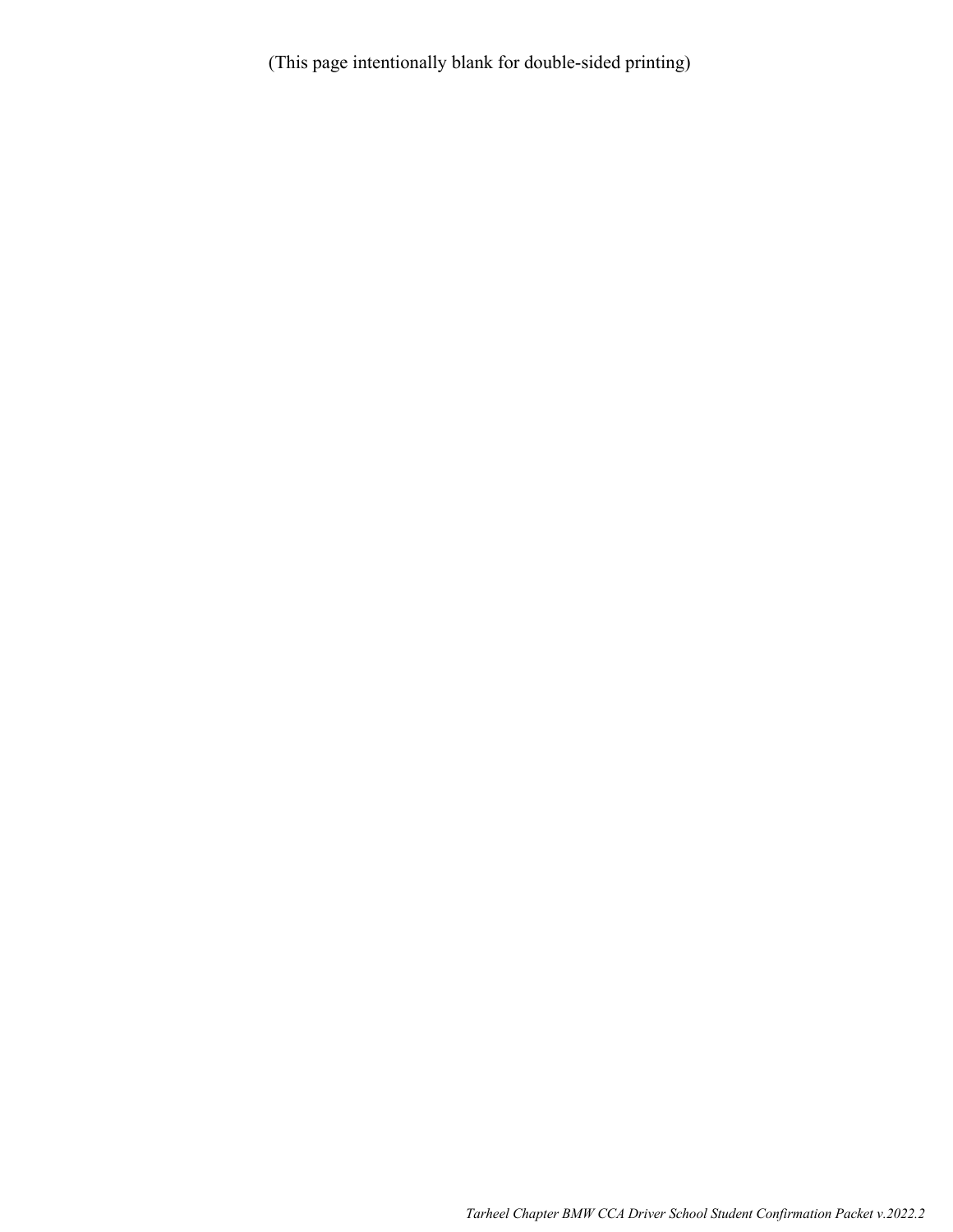(This page intentionally blank for double-sided printing)